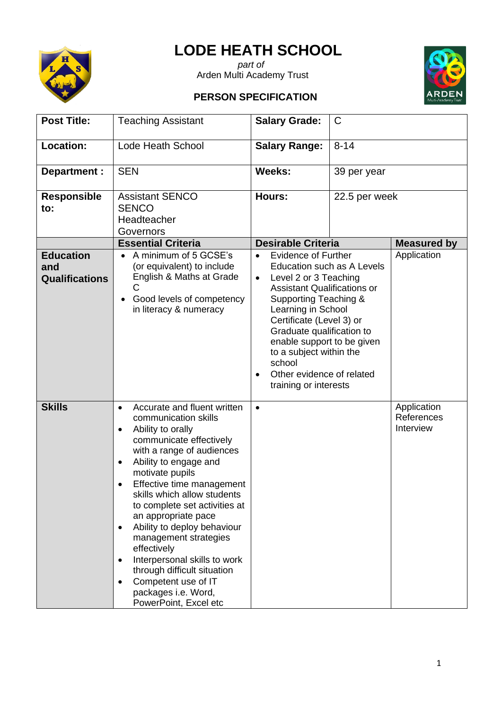## **LODE HEATH SCHOOL**



*part of* Arden Multi Academy Trust





## **Post Title:** Teaching Assistant **Salary Grade:** C **Location:** Lode Heath School **Salary Range:** 8-14 **Department :** SEN **Weeks:** 39 per year **Responsible to:** Assistant SENCO **SENCO Headteacher Governors Hours:** 22.5 per week **Essential Criteria Desirable Criteria Neasured by Education and Qualifications**  • A minimum of 5 GCSE's (or equivalent) to include English & Maths at Grade  $\mathcal{C}$ • Good levels of competency in literacy & numeracy • Evidence of Further Education such as A Levels • Level 2 or 3 Teaching Assistant Qualifications or Supporting Teaching & Learning in School Certificate (Level 3) or Graduate qualification to enable support to be given to a subject within the school • Other evidence of related training or interests **Application Skills** • Accurate and fluent written communication skills • Ability to orally communicate effectively with a range of audiences • Ability to engage and motivate pupils • Effective time management skills which allow students to complete set activities at an appropriate pace • Ability to deploy behaviour management strategies effectively • Interpersonal skills to work through difficult situation • Competent use of IT packages i.e. Word, PowerPoint, Excel etc • Application References Interview